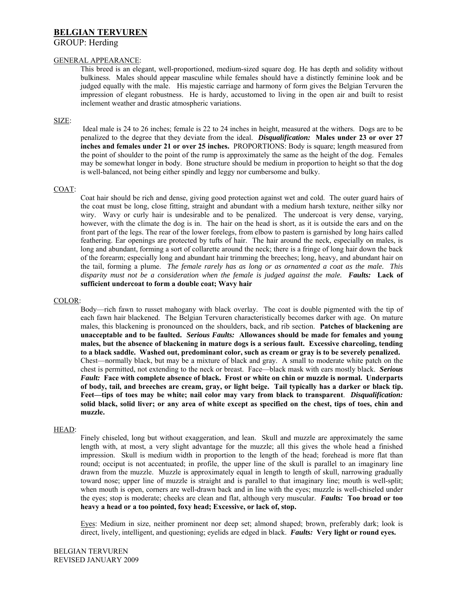# **BELGIAN TERVUREN**

# GROUP: Herding

# GENERAL APPEARANCE:

This breed is an elegant, well-proportioned, medium-sized square dog. He has depth and solidity without bulkiness. Males should appear masculine while females should have a distinctly feminine look and be judged equally with the male. His majestic carriage and harmony of form gives the Belgian Tervuren the impression of elegant robustness. He is hardy, accustomed to living in the open air and built to resist inclement weather and drastic atmospheric variations.

## SIZE:

Ideal male is 24 to 26 inches; female is 22 to 24 inches in height, measured at the withers. Dogs are to be penalized to the degree that they deviate from the ideal. *Disqualification:* **Males under 23 or over 27 inches and females under 21 or over 25 inches.** PROPORTIONS: Body is square; length measured from the point of shoulder to the point of the rump is approximately the same as the height of the dog. Females may be somewhat longer in body. Bone structure should be medium in proportion to height so that the dog is well-balanced, not being either spindly and leggy nor cumbersome and bulky.

# COAT:

Coat hair should be rich and dense, giving good protection against wet and cold. The outer guard hairs of the coat must be long, close fitting, straight and abundant with a medium harsh texture, neither silky nor wiry. Wavy or curly hair is undesirable and to be penalized. The undercoat is very dense, varying, however, with the climate the dog is in. The hair on the head is short, as it is outside the ears and on the front part of the legs. The rear of the lower forelegs, from elbow to pastern is garnished by long hairs called feathering. Ear openings are protected by tufts of hair. The hair around the neck, especially on males, is long and abundant, forming a sort of collarette around the neck; there is a fringe of long hair down the back of the forearm; especially long and abundant hair trimming the breeches; long, heavy, and abundant hair on the tail, forming a plume. *The female rarely has as long or as ornamented a coat as the male. This disparity must not be a consideration when the female is judged against the male. Faults:* **Lack of sufficient undercoat to form a double coat; Wavy hair**

## COLOR:

Body—rich fawn to russet mahogany with black overlay. The coat is double pigmented with the tip of each fawn hair blackened. The Belgian Tervuren characteristically becomes darker with age. On mature males, this blackening is pronounced on the shoulders, back, and rib section. **Patches of blackening are unacceptable and to be faulted.** *Serious Faults:* **Allowances should be made for females and young males, but the absence of blackening in mature dogs is a serious fault. Excessive charcoling, tending to a black saddle. Washed out, predominant color, such as cream or gray is to be severely penalized.**  Chest—normally black, but may be a mixture of black and gray. A small to moderate white patch on the chest is permitted, not extending to the neck or breast. Face—black mask with ears mostly black. *Serious Fault:* **Face with complete absence of black. Frost or white on chin or muzzle is normal. Underparts of body, tail, and breeches are cream, gray, or light beige. Tail typically has a darker or black tip. Feet—tips of toes may be white; nail color may vary from black to transparent**. *Disqualification:*  **solid black, solid liver; or any area of white except as specified on the chest, tips of toes, chin and muzzle.** 

## HEAD:

Finely chiseled, long but without exaggeration, and lean. Skull and muzzle are approximately the same length with, at most, a very slight advantage for the muzzle; all this gives the whole head a finished impression. Skull is medium width in proportion to the length of the head; forehead is more flat than round; occiput is not accentuated; in profile, the upper line of the skull is parallel to an imaginary line drawn from the muzzle. Muzzle is approximately equal in length to length of skull, narrowing gradually toward nose; upper line of muzzle is straight and is parallel to that imaginary line; mouth is well-split; when mouth is open, corners are well-drawn back and in line with the eyes; muzzle is well-chiseled under the eyes; stop is moderate; cheeks are clean and flat, although very muscular. *Faults:* **Too broad or too heavy a head or a too pointed, foxy head; Excessive, or lack of, stop.** 

Eyes: Medium in size, neither prominent nor deep set; almond shaped; brown, preferably dark; look is direct, lively, intelligent, and questioning; eyelids are edged in black. *Faults:* **Very light or round eyes.**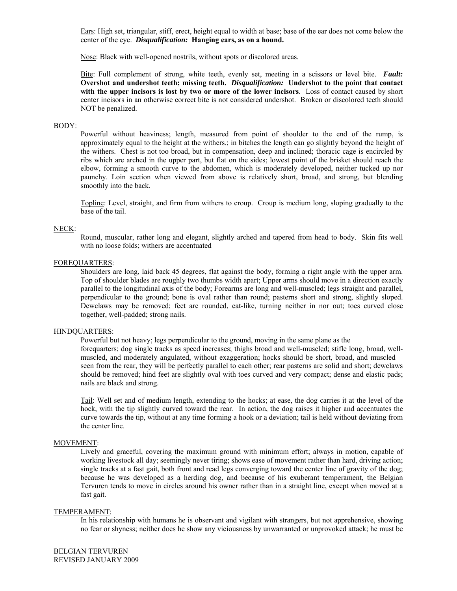Ears: High set, triangular, stiff, erect, height equal to width at base; base of the ear does not come below the center of the eye. *Disqualification:* **Hanging ears, as on a hound.**

Nose: Black with well-opened nostrils, without spots or discolored areas.

Bite: Full complement of strong, white teeth, evenly set, meeting in a scissors or level bite. *Fault:*  **Overshot and undershot teeth; missing teeth.** *Disqualification:* **Undershot to the point that contact with the upper incisors is lost by two or more of the lower incisors**. Loss of contact caused by short center incisors in an otherwise correct bite is not considered undershot. Broken or discolored teeth should NOT be penalized.

#### BODY:

Powerful without heaviness; length, measured from point of shoulder to the end of the rump, is approximately equal to the height at the withers.; in bitches the length can go slightly beyond the height of the withers. Chest is not too broad, but in compensation, deep and inclined; thoracic cage is encircled by ribs which are arched in the upper part, but flat on the sides; lowest point of the brisket should reach the elbow, forming a smooth curve to the abdomen, which is moderately developed, neither tucked up nor paunchy. Loin section when viewed from above is relatively short, broad, and strong, but blending smoothly into the back.

Topline: Level, straight, and firm from withers to croup. Croup is medium long, sloping gradually to the base of the tail.

### NECK:

Round, muscular, rather long and elegant, slightly arched and tapered from head to body. Skin fits well with no loose folds; withers are accentuated

# FOREQUARTERS:

Shoulders are long, laid back 45 degrees, flat against the body, forming a right angle with the upper arm. Top of shoulder blades are roughly two thumbs width apart; Upper arms should move in a direction exactly parallel to the longitudinal axis of the body; Forearms are long and well-muscled; legs straight and parallel, perpendicular to the ground; bone is oval rather than round; pasterns short and strong, slightly sloped. Dewclaws may be removed; feet are rounded, cat-like, turning neither in nor out; toes curved close together, well-padded; strong nails.

### HINDQUARTERS:

Powerful but not heavy; legs perpendicular to the ground, moving in the same plane as the

forequarters; dog single tracks as speed increases; thighs broad and well-muscled; stifle long, broad, wellmuscled, and moderately angulated, without exaggeration; hocks should be short, broad, and muscled seen from the rear, they will be perfectly parallel to each other; rear pasterns are solid and short; dewclaws should be removed; hind feet are slightly oval with toes curved and very compact; dense and elastic pads; nails are black and strong.

Tail: Well set and of medium length, extending to the hocks; at ease, the dog carries it at the level of the hock, with the tip slightly curved toward the rear. In action, the dog raises it higher and accentuates the curve towards the tip, without at any time forming a hook or a deviation; tail is held without deviating from the center line.

### MOVEMENT:

Lively and graceful, covering the maximum ground with minimum effort; always in motion, capable of working livestock all day; seemingly never tiring; shows ease of movement rather than hard, driving action; single tracks at a fast gait, both front and read legs converging toward the center line of gravity of the dog; because he was developed as a herding dog, and because of his exuberant temperament, the Belgian Tervuren tends to move in circles around his owner rather than in a straight line, except when moved at a fast gait.

#### TEMPERAMENT:

In his relationship with humans he is observant and vigilant with strangers, but not apprehensive, showing no fear or shyness; neither does he show any viciousness by unwarranted or unprovoked attack; he must be